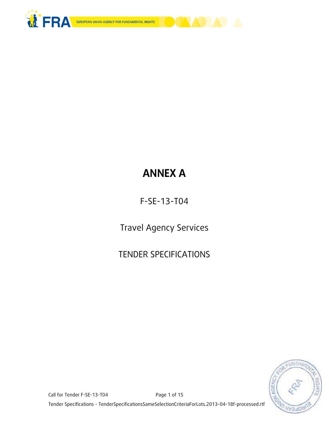



# **ANNEX A**

F-SE-13-T04

Travel Agency Services

TENDER SPECIFICATIONS



Call for Tender F-SE-13-T04 Page 1 of 15 Tender Specifications - TenderSpecificationsSameSelectionCriteriaForLots.2013-04-18f-processed.rtf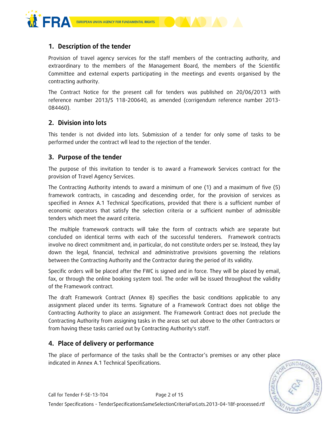

# **1. Description of the tender**

Provision of travel agency services for the staff members of the contracting authority, and extraordinary to the members of the Management Board, the members of the Scientific Committee and external experts participating in the meetings and events organised by the contracting authority.

The Contract Notice for the present call for tenders was published on 20/06/2013 with reference number 2013/S 118-200640, as amended (corrigendum reference number 2013- 084460).

## **2. Division into lots**

This tender is not divided into lots. Submission of a tender for only some of tasks to be performed under the contract wll lead to the rejection of the tender.

## **3. Purpose of the tender**

The purpose of this invitation to tender is to award a Framework Services contract for the provision of Travel Agency Services.

The Contracting Authority intends to award a minimum of one (1) and a maximum of five (5) framework contracts, in cascading and descending order, for the provision of services as specified in Annex A.1 Technical Specifications, provided that there is a sufficient number of economic operators that satisfy the selection criteria or a sufficient number of admissible tenders which meet the award criteria.

The multiple framework contracts will take the form of contracts which are separate but concluded on identical terms with each of the successful tenderers. Framework contracts involve no direct commitment and, in particular, do not constitute orders per se. Instead, they lay down the legal, financial, technical and administrative provisions governing the relations between the Contracting Authority and the Contractor during the period of its validity.

Specific orders will be placed after the FWC is signed and in force. They will be placed by email, fax, or through the online booking system tool. The order will be issued throughout the validity of the Framework contract.

The draft Framework Contract (Annex B) specifies the basic conditions applicable to any assignment placed under its terms. Signature of a Framework Contract does not oblige the Contracting Authority to place an assignment. The Framework Contract does not preclude the Contracting Authority from assigning tasks in the areas set out above to the other Contractors or from having these tasks carried out by Contracting Authority's staff.

## **4. Place of delivery or performance**

The place of performance of the tasks shall be the Contractor's premises or any other place indicated in Annex A.1 Technical Specifications.

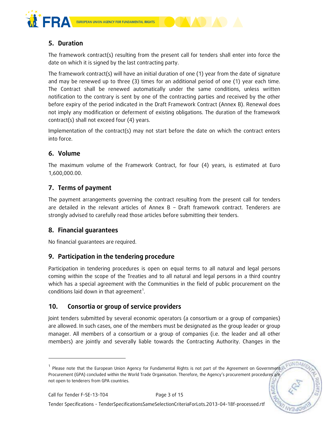



The framework contract(s) resulting from the present call for tenders shall enter into force the date on which it is signed by the last contracting party.

The framework contract(s) will have an initial duration of one (1) year from the date of signature and may be renewed up to three (3) times for an additional period of one (1) year each time. The Contract shall be renewed automatically under the same conditions, unless written notification to the contrary is sent by one of the contracting parties and received by the other before expiry of the period indicated in the Draft Framework Contract (Annex B). Renewal does not imply any modification or deferment of existing obligations. The duration of the framework contract(s) shall not exceed four (4) years.

Implementation of the contract(s) may not start before the date on which the contract enters into force.

# **6. Volume**

The maximum volume of the Framework Contract, for four (4) years, is estimated at Euro 1,600,000.00.

# **7. Terms of payment**

The payment arrangements governing the contract resulting from the present call for tenders are detailed in the relevant articles of Annex B – Draft framework contract. Tenderers are strongly advised to carefully read those articles before submitting their tenders.

# **8. Financial guarantees**

No financial guarantees are required.

# **9. Participation in the tendering procedure**

Participation in tendering procedures is open on equal terms to all natural and legal persons coming within the scope of the Treaties and to all natural and legal persons in a third country which has a special agreement with the Communities in the field of public procurement on the conditions laid down in that agreement<sup>1</sup>.

# **10. Consortia or group of service providers**

Joint tenders submitted by several economic operators (a consortium or a group of companies) are allowed. In such cases, one of the members must be designated as the group leader or group manager. All members of a consortium or a group of companies (i.e. the leader and all other members) are jointly and severally liable towards the Contracting Authority. Changes in the

ONDA

-

<sup>&</sup>lt;sup>1</sup> Please note that the European Union Agency for Fundamental Rights is not part of the Agreement on Government Procurement (GPA) concluded within the World Trade Organisation. Therefore, the Agency's procurement procedures are not open to tenderers from GPA countries.**AGE**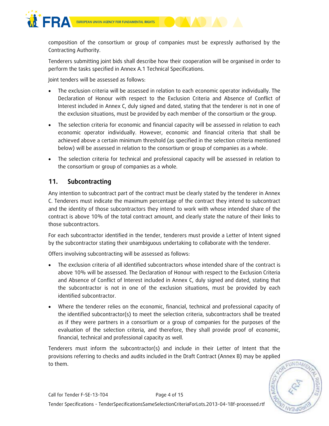

composition of the consortium or group of companies must be expressly authorised by the Contracting Authority.

Tenderers submitting joint bids shall describe how their cooperation will be organised in order to perform the tasks specified in Annex A.1 Technical Specifications.

Joint tenders will be assessed as follows:

- The exclusion criteria will be assessed in relation to each economic operator individually. The Declaration of Honour with respect to the Exclusion Criteria and Absence of Conflict of Interest included in Annex C, duly signed and dated, stating that the tenderer is not in one of the exclusion situations, must be provided by each member of the consortium or the group.
- The selection criteria for economic and financial capacity will be assessed in relation to each economic operator individually. However, economic and financial criteria that shall be achieved above a certain minimum threshold (as specified in the selection criteria mentioned below) will be assessed in relation to the consortium or group of companies as a whole.
- The selection criteria for technical and professional capacity will be assessed in relation to the consortium or group of companies as a whole.

# **11. Subcontracting**

Any intention to subcontract part of the contract must be clearly stated by the tenderer in Annex C. Tenderers must indicate the maximum percentage of the contract they intend to subcontract and the identity of those subcontractors they intend to work with whose intended share of the contract is above 10% of the total contract amount, and clearly state the nature of their links to those subcontractors.

For each subcontractor identified in the tender, tenderers must provide a Letter of Intent signed by the subcontractor stating their unambiguous undertaking to collaborate with the tenderer.

Offers involving subcontracting will be assessed as follows:

- The exclusion criteria of all identified subcontractors whose intended share of the contract is above 10% will be assessed. The Declaration of Honour with respect to the Exclusion Criteria and Absence of Conflict of Interest included in Annex C, duly signed and dated, stating that the subcontractor is not in one of the exclusion situations, must be provided by each identified subcontractor.
- Where the tenderer relies on the economic, financial, technical and professional capacity of the identified subcontractor(s) to meet the selection criteria, subcontractors shall be treated as if they were partners in a consortium or a group of companies for the purposes of the evaluation of the selection criteria, and therefore, they shall provide proof of economic, financial, technical and professional capacity as well.

Tenderers must inform the subcontractor(s) and include in their Letter of Intent that the provisions referring to checks and audits included in the Draft Contract (Annex B) may be applied to them.

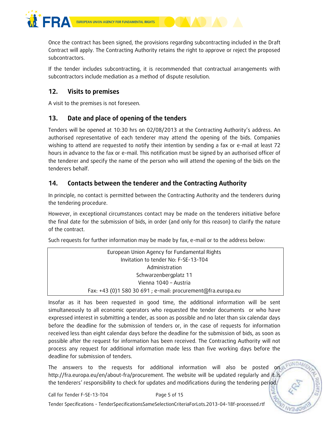

Once the contract has been signed, the provisions regarding subcontracting included in the Draft Contract will apply. The Contracting Authority retains the right to approve or reject the proposed subcontractors.

If the tender includes subcontracting, it is recommended that contractual arrangements with subcontractors include mediation as a method of dispute resolution.

# **12. Visits to premises**

A visit to the premises is not foreseen.

# **13. Date and place of opening of the tenders**

Tenders will be opened at 10:30 hrs on 02/08/2013 at the Contracting Authority's address. An authorised representative of each tenderer may attend the opening of the bids. Companies wishing to attend are requested to notify their intention by sending a fax or e-mail at least 72 hours in advance to the fax or e-mail. This notification must be signed by an authorised officer of the tenderer and specify the name of the person who will attend the opening of the bids on the tenderers behalf.

# **14. Contacts between the tenderer and the Contracting Authority**

In principle, no contact is permitted between the Contracting Authority and the tenderers during the tendering procedure.

However, in exceptional circumstances contact may be made on the tenderers initiative before the final date for the submission of bids, in order (and only for this reason) to clarify the nature of the contract.

Such requests for further information may be made by fax, e-mail or to the address below:

| European Union Agency for Fundamental Rights                 |  |
|--------------------------------------------------------------|--|
| Invitation to tender No: F-SE-13-T04                         |  |
| Administration                                               |  |
| Schwarzenbergplatz 11                                        |  |
| Vienna 1040 - Austria                                        |  |
| Fax: +43 (0)1 580 30 691 ; e-mail: procurement@fra.europa.eu |  |
|                                                              |  |

Insofar as it has been requested in good time, the additional information will be sent simultaneously to all economic operators who requested the tender documents or who have expressed interest in submitting a tender, as soon as possible and no later than six calendar days before the deadline for the submission of tenders or, in the case of requests for information received less than eight calendar days before the deadline for the submission of bids, as soon as possible after the request for information has been received. The Contracting Authority will not process any request for additional information made less than five working days before the deadline for submission of tenders.

The answers to the requests for additional information will also be posted on http://fra.europa.eu/en/about-fra/procurement. The website will be updated regularly and it is the tenderers' responsibility to check for updates and modifications during the tendering period.

Tender Specifications - TenderSpecificationsSameSelectionCriteriaForLots.2013-04-18f-processed.rtf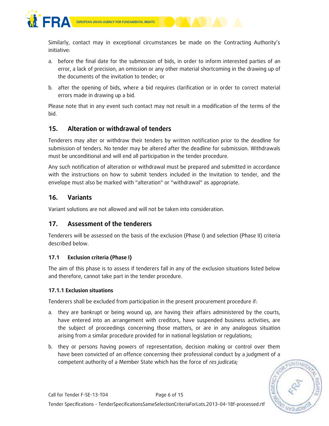

Similarly, contact may in exceptional circumstances be made on the Contracting Authority's initiative:

- a. before the final date for the submission of bids, in order to inform interested parties of an error, a lack of precision, an omission or any other material shortcoming in the drawing up of the documents of the invitation to tender; or
- b. after the opening of bids, where a bid requires clarification or in order to correct material errors made in drawing up a bid.

Please note that in any event such contact may not result in a modification of the terms of the bid.

# **15. Alteration or withdrawal of tenders**

Tenderers may alter or withdraw their tenders by written notification prior to the deadline for submission of tenders. No tender may be altered after the deadline for submission. Withdrawals must be unconditional and will end all participation in the tender procedure.

Any such notification of alteration or withdrawal must be prepared and submitted in accordance with the instructions on how to submit tenders included in the Invitation to tender, and the envelope must also be marked with "alteration" or "withdrawal" as appropriate.

# **16. Variants**

Variant solutions are not allowed and will not be taken into consideration.

# **17. Assessment of the tenderers**

Tenderers will be assessed on the basis of the exclusion (Phase I) and selection (Phase II) criteria described below.

## **17.1 Exclusion criteria (Phase I)**

The aim of this phase is to assess if tenderers fall in any of the exclusion situations listed below and therefore, cannot take part in the tender procedure.

#### **17.1.1 Exclusion situations**

Tenderers shall be excluded from participation in the present procurement procedure if:

- a. they are bankrupt or being wound up, are having their affairs administered by the courts, have entered into an arrangement with creditors, have suspended business activities, are the subject of proceedings concerning those matters, or are in any analogous situation arising from a similar procedure provided for in national legislation or regulations;
- b. they or persons having powers of representation, decision making or control over them have been convicted of an offence concerning their professional conduct by a judgment of a competent authority of a Member State which has the force of *res judicata;*

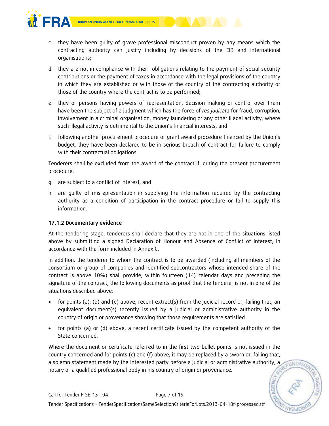



- c. they have been guilty of grave professional misconduct proven by any means which the contracting authority can justify including by decisions of the EIB and international organisations;
- d. they are not in compliance with their obligations relating to the payment of social security contributions or the payment of taxes in accordance with the legal provisions of the country in which they are established or with those of the country of the contracting authority or those of the country where the contract is to be performed;
- e. they or persons having powers of representation, decision making or control over them have been the subject of a judgment which has the force of *res judicata* for fraud, corruption, involvement in a criminal organisation, money laundering or any other illegal activity, where such illegal activity is detrimental to the Union's financial interests, and
- f. following another procurement procedure or grant award procedure financed by the Union's budget, they have been declared to be in serious breach of contract for failure to comply with their contractual obligations.

Tenderers shall be excluded from the award of the contract if, during the present procurement procedure:

- g. are subject to a conflict of interest, and
- h. are guilty of misrepresentation in supplying the information required by the contracting authority as a condition of participation in the contract procedure or fail to supply this information.

#### **17.1.2 Documentary evidence**

At the tendering stage, tenderers shall declare that they are not in one of the situations listed above by submitting a signed Declaration of Honour and Absence of Conflict of Interest, in accordance with the form included in Annex C.

In addition, the tenderer to whom the contract is to be awarded (including all members of the consortium or group of companies and identified subcontractors whose intended share of the contract is above 10%) shall provide, within fourteen (14) calendar days and preceding the signature of the contract, the following documents as proof that the tenderer is not in one of the situations described above:

- for points (a), (b) and (e) above, recent extract(s) from the judicial record or, failing that, an equivalent document(s) recently issued by a judicial or administrative authority in the country of origin or provenance showing that those requirements are satisfied
- for points (a) or (d) above, a recent certificate issued by the competent authority of the State concerned.

Where the document or certificate referred to in the first two bullet points is not issued in the country concerned and for points (c) and (f) above, it may be replaced by a sworn or, failing that, a solemn statement made by the interested party before a judicial or administrative authority, a EUNDAM notary or a qualified professional body in his country of origin or provenance.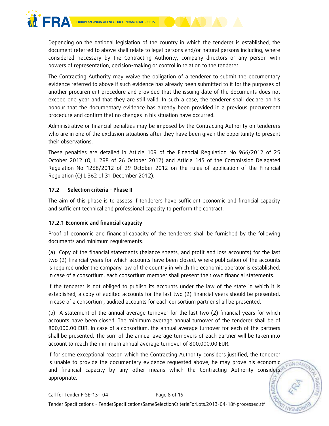

Depending on the national legislation of the country in which the tenderer is established, the document referred to above shall relate to legal persons and/or natural persons including, where considered necessary by the Contracting Authority, company directors or any person with powers of representation, decision-making or control in relation to the tenderer.

The Contracting Authority may waive the obligation of a tenderer to submit the documentary evidence referred to above if such evidence has already been submitted to it for the purposes of another procurement procedure and provided that the issuing date of the documents does not exceed one year and that they are still valid. In such a case, the tenderer shall declare on his honour that the documentary evidence has already been provided in a previous procurement procedure and confirm that no changes in his situation have occurred.

Administrative or financial penalties may be imposed by the Contracting Authority on tenderers who are in one of the exclusion situations after they have been given the opportunity to present their observations.

These penalties are detailed in Article 109 of the Financial Regulation No 966/2012 of 25 October 2012 (OJ L 298 of 26 October 2012) and Article 145 of the Commission Delegated Regulation No 1268/2012 of 29 October 2012 on the rules of application of the Financial Regulation (OJ L 362 of 31 December 2012).

## **17.2 Selection criteria – Phase II**

The aim of this phase is to assess if tenderers have sufficient economic and financial capacity and sufficient technical and professional capacity to perform the contract.

## **17.2.1 Economic and financial capacity**

Proof of economic and financial capacity of the tenderers shall be furnished by the following documents and minimum requirements:

(a) Copy of the financial statements (balance sheets, and profit and loss accounts) for the last two (2) financial years for which accounts have been closed, where publication of the accounts is required under the company law of the country in which the economic operator is established. In case of a consortium, each consortium member shall present their own financial statements.

If the tenderer is not obliged to publish its accounts under the law of the state in which it is established, a copy of audited accounts for the last two (2) financial years should be presented. In case of a consortium, audited accounts for each consortium partner shall be presented.

(b) A statement of the annual average turnover for the last two (2) financial years for which accounts have been closed. The minimum average annual turnover of the tenderer shall be of 800,000.00 EUR. In case of a consortium, the annual average turnover for each of the partners shall be presented. The sum of the annual average turnovers of each partner will be taken into account to reach the minimum annual average turnover of 800,000.00 EUR.

If for some exceptional reason which the Contracting Authority considers justified, the tenderer is unable to provide the documentary evidence requested above, he may prove his economic EUNDAM and financial capacity by any other means which the Contracting Authority considers appropriate.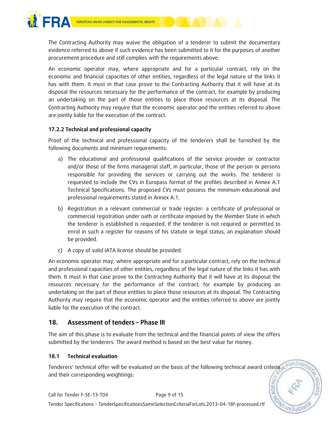

The Contracting Authority may waive the obligation of a tenderer to submit the documentary evidence referred to above if such evidence has been submitted to it for the purposes of another procurement procedure and still complies with the requirements above.

An economic operator may, where appropriate and for a particular contract, rely on the economic and financial capacities of other entities, regardless of the legal nature of the links it has with them. It must in that case prove to the Contracting Authority that it will have at its disposal the resources necessary for the performance of the contract, for example by producing an undertaking on the part of those entities to place those resources at its disposal. The Contracting Authority may require that the economic operator and the entities referred to above are jointly liable for the execution of the contract.

#### **17.2.2 Technical and professional capacity**

Proof of the technical and professional capacity of the tenderers shall be furnished by the following documents and minimum requirements:

- a) The educational and professional qualifications of the service provider or contractor and/or those of the firms managerial staff, in particular, those of the person or persons responsible for providing the services or carrying out the works. The tenderer is requested to include the CVs in Europass format of the profiles described in Annex A.1 Technical Specifications. The proposed CVs must possess the minimum educational and professional requirements stated in Annex A.1.
- b) Registration in a relevant commercial or trade register: a certificate of professional or commercial registration under oath or certificate imposed by the Member State in which the tenderer is established is requested. If the tenderer is not required or permitted to enrol in such a register for reasons of his statute or legal status, an explanation should be provided.
- c) A copy of valid IATA license should be provided.

An economic operator may, where appropriate and for a particular contract, rely on the technical and professional capacities of other entities, regardless of the legal nature of the links it has with them. It must in that case prove to the Contracting Authority that it will have at its disposal the resources necessary for the performance of the contract, for example by producing an undertaking on the part of those entities to place those resources at its disposal. The Contracting Authority may require that the economic operator and the entities referred to above are jointly liable for the execution of the contract.

# **18. Assessment of tenders – Phase III**

The aim of this phase is to evaluate from the technical and the financial points of view the offers submitted by the tenderers. The award method is based on the best value for money.

#### **18.1 Technical evaluation**

Tenderers' technical offer will be evaluated on the basis of the following technical award criteria and their corresponding weightings: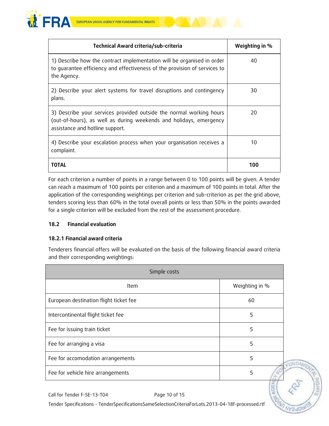

| Technical Award criteria/sub-criteria                                                                                                                                        | Weighting in % |
|------------------------------------------------------------------------------------------------------------------------------------------------------------------------------|----------------|
| 1) Describe how the contract implementation will be organised in order<br>to quarantee efficiency and effectiveness of the provision of services to<br>the Agency.           | 40             |
| 2) Describe your alert systems for travel disruptions and contingency<br>plans.                                                                                              | 30             |
| 3) Describe your services provided outside the normal working hours<br>(out-of-hours), as well as during weekends and holidays, emergency<br>assistance and hotline support. | 20             |
| 4) Describe your escalation process when your organisation receives a<br>complaint.                                                                                          | 10             |
| TOTAL                                                                                                                                                                        | 100            |

For each criterion a number of points in a range between 0 to 100 points will be given. A tender can reach a maximum of 100 points per criterion and a maximum of 100 points in total. After the application of the corresponding weightings per criterion and sub-criterion as per the grid above, tenders scoring less than 60% in the total overall points or less than 50% in the points awarded for a single criterion will be excluded from the rest of the assessment procedure.

#### **18.2 Financial evaluation**

#### **18.2.1 Financial award criteria**

Tenderers financial offers will be evaluated on the basis of the following financial award criteria and their corresponding weightings:

| Simple costs                           |                |
|----------------------------------------|----------------|
| <b>Item</b>                            | Weighting in % |
| European destination flight ticket fee | 60             |
| Intercontinental flight ticket fee     | 5              |
| Fee for issuing train ticket           | 5              |
| Fee for arranging a visa               | 5              |
| Fee for accomodation arrangements      | 5              |
| Fee for vehicle hire arrangements      | 5              |



Tender Specifications - TenderSpecificationsSameSelectionCriteriaForLots.2013-04-18f-processed.rtf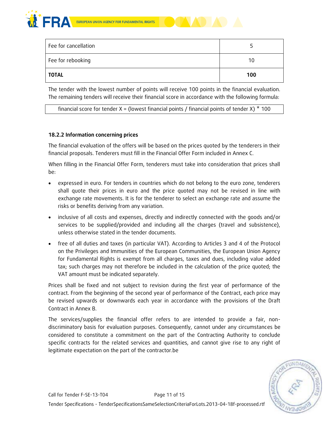



| Fee for cancellation |     |
|----------------------|-----|
| Fee for rebooking    | 10  |
| TOTAL                | 100 |

The tender with the lowest number of points will receive 100 points in the financial evaluation. The remaining tenders will receive their financial score in accordance with the following formula:

financial score for tender  $X =$  (lowest financial points / financial points of tender X)  $*$  100

#### **18.2.2 Information concerning prices**

The financial evaluation of the offers will be based on the prices quoted by the tenderers in their financial proposals. Tenderers must fill in the Financial Offer Form included in Annex C.

When filling in the Financial Offer Form, tenderers must take into consideration that prices shall be:

- expressed in euro. For tenders in countries which do not belong to the euro zone, tenderers shall quote their prices in euro and the price quoted may not be revised in line with exchange rate movements. It is for the tenderer to select an exchange rate and assume the risks or benefits deriving from any variation.
- inclusive of all costs and expenses, directly and indirectly connected with the goods and/or services to be supplied/provided and including all the charges (travel and subsistence), unless otherwise stated in the tender documents.
- free of all duties and taxes (in particular VAT). According to Articles 3 and 4 of the Protocol on the Privileges and Immunities of the European Communities, the European Union Agency for Fundamental Rights is exempt from all charges, taxes and dues, including value added tax; such charges may not therefore be included in the calculation of the price quoted; the VAT amount must be indicated separately.

Prices shall be fixed and not subject to revision during the first year of performance of the contract. From the beginning of the second year of performance of the Contract, each price may be revised upwards or downwards each year in accordance with the provisions of the Draft Contract in Annex B.

The services/supplies the financial offer refers to are intended to provide a fair, nondiscriminatory basis for evaluation purposes. Consequently, cannot under any circumstances be considered to constitute a commitment on the part of the Contracting Authority to conclude specific contracts for the related services and quantities, and cannot give rise to any right of legitimate expectation on the part of the contractor.be

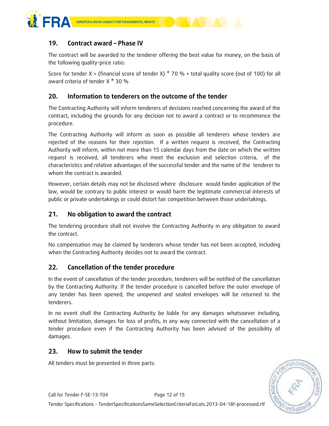

# **19. Contract award – Phase IV**

The contract will be awarded to the tenderer offering the best value for money, on the basis of the following quality-price ratio:

Score for tender X = (financial score of tender X)  $*$  70 % + total quality score (out of 100) for all award criteria of tender X \* 30 %

## **20. Information to tenderers on the outcome of the tender**

The Contracting Authority will inform tenderers of decisions reached concerning the award of the contract, including the grounds for any decision not to award a contract or to recommence the procedure.

The Contracting Authority will inform as soon as possible all tenderers whose tenders are rejected of the reasons for their rejection. If a written request is received, the Contracting Authority will inform, within not more than 15 calendar days from the date on which the written request is received, all tenderers who meet the exclusion and selection criteria, of the characteristics and relative advantages of the successful tender and the name of the tenderer to whom the contract is awarded.

However, certain details may not be disclosed where disclosure would hinder application of the law, would be contrary to public interest or would harm the legitimate commercial interests of public or private undertakings or could distort fair competition between those undertakings.

# **21. No obligation to award the contract**

The tendering procedure shall not involve the Contracting Authority in any obligation to award the contract.

No compensation may be claimed by tenderers whose tender has not been accepted, including when the Contracting Authority decides not to award the contract.

## **22. Cancellation of the tender procedure**

In the event of cancellation of the tender procedure, tenderers will be notified of the cancellation by the Contracting Authority. If the tender procedure is cancelled before the outer envelope of any tender has been opened, the unopened and sealed envelopes will be returned to the tenderers.

In no event shall the Contracting Authority be liable for any damages whatsoever including, without limitation, damages for loss of profits, in any way connected with the cancellation of a tender procedure even if the Contracting Authority has been advised of the possibility of damages.

## **23. How to submit the tender**

All tenders must be presented in three parts:

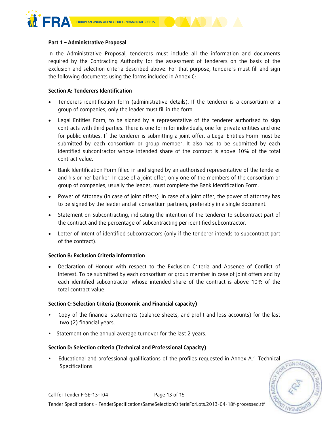

#### **Part 1 – Administrative Proposal**

In the Administrative Proposal, tenderers must include all the information and documents required by the Contracting Authority for the assessment of tenderers on the basis of the exclusion and selection criteria described above. For that purpose, tenderers must fill and sign the following documents using the forms included in Annex C:

#### **Section A: Tenderers Identification**

- Tenderers identification form (administrative details). If the tenderer is a consortium or a group of companies, only the leader must fill in the form.
- Legal Entities Form, to be signed by a representative of the tenderer authorised to sign contracts with third parties. There is one form for individuals, one for private entities and one for public entities. If the tenderer is submitting a joint offer, a Legal Entities Form must be submitted by each consortium or group member. It also has to be submitted by each identified subcontractor whose intended share of the contract is above 10% of the total contract value.
- Bank Identification Form filled in and signed by an authorised representative of the tenderer and his or her banker. In case of a joint offer, only one of the members of the consortium or group of companies, usually the leader, must complete the Bank Identification Form.
- Power of Attorney (in case of joint offers). In case of a joint offer, the power of attorney has to be signed by the leader and all consortium partners, preferably in a single document.
- Statement on Subcontracting, indicating the intention of the tenderer to subcontract part of the contract and the percentage of subcontracting per identified subcontractor.
- Letter of Intent of identified subcontractors (only if the tenderer intends to subcontract part of the contract).

#### **Section B: Exclusion Criteria information**

 Declaration of Honour with respect to the Exclusion Criteria and Absence of Conflict of Interest. To be submitted by each consortium or group member in case of joint offers and by each identified subcontractor whose intended share of the contract is above 10% of the total contract value.

#### **Section C: Selection Criteria (Economic and Financial capacity)**

- Copy of the financial statements (balance sheets, and profit and loss accounts) for the last two (2) financial years.
- Statement on the annual average turnover for the last 2 years.

#### **Section D: Selection criteria (Technical and Professional Capacity)**

 Educational and professional qualifications of the profiles requested in Annex A.1 Technical Specifications.

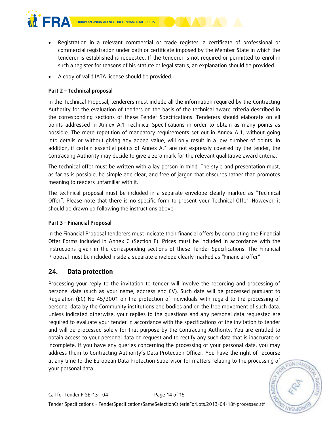



- Registration in a relevant commercial or trade register: a certificate of professional or commercial registration under oath or certificate imposed by the Member State in which the tenderer is established is requested. If the tenderer is not required or permitted to enrol in such a register for reasons of his statute or legal status, an explanation should be provided.
- A copy of valid IATA license should be provided.

#### **Part 2 – Technical proposal**

In the Technical Proposal, tenderers must include all the information required by the Contracting Authority for the evaluation of tenders on the basis of the technical award criteria described in the corresponding sections of these Tender Specifications. Tenderers should elaborate on all points addressed in Annex A.1 Technical Specifications in order to obtain as many points as possible. The mere repetition of mandatory requirements set out in Annex A.1, without going into details or without giving any added value, will only result in a low number of points. In addition, if certain essential points of Annex A.1 are not expressly covered by the tender, the Contracting Authority may decide to give a zero mark for the relevant qualitative award criteria.

The technical offer must be written with a lay person in mind. The style and presentation must, as far as is possible, be simple and clear, and free of jargon that obscures rather than promotes meaning to readers unfamiliar with it.

The technical proposal must be included in a separate envelope clearly marked as "Technical Offer". Please note that there is no specific form to present your Technical Offer. However, it should be drawn up following the instructions above.

#### **Part 3 – Financial Proposal**

In the Financial Proposal tenderers must indicate their financial offers by completing the Financial Offer Forms included in Annex C (Section F). Prices must be included in accordance with the instructions given in the corresponding sections of these Tender Specifications. The Financial Proposal must be included inside a separate envelope clearly marked as "Financial offer".

## **24. Data protection**

Processing your reply to the invitation to tender will involve the recording and processing of personal data (such as your name, address and CV). Such data will be processed pursuant to Regulation (EC) No 45/2001 on the protection of individuals with regard to the processing of personal data by the Community institutions and bodies and on the free movement of such data. Unless indicated otherwise, your replies to the questions and any personal data requested are required to evaluate your tender in accordance with the specifications of the invitation to tender and will be processed solely for that purpose by the Contracting Authority. You are entitled to obtain access to your personal data on request and to rectify any such data that is inaccurate or incomplete. If you have any queries concerning the processing of your personal data, you may address them to Contracting Authority's Data Protection Officer. You have the right of recourse at any time to the European Data Protection Supervisor for matters relating to the processing of your personal data.

**FUNDAME**